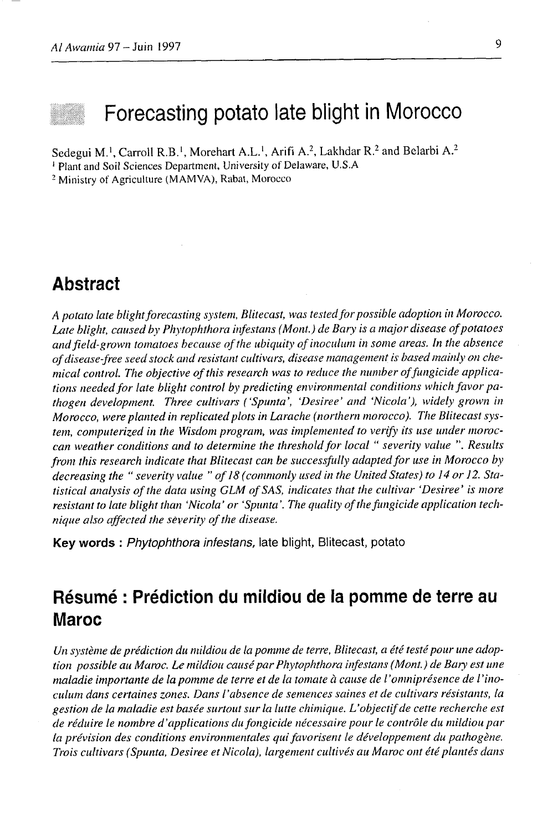# Forecasting potato late blight in Morocco

Sedegui M.<sup>1</sup>, Carroll R.B.<sup>1</sup>, Morehart A.L.<sup>1</sup>, Arifi A.<sup>2</sup>, Lakhdar R.<sup>2</sup> and Belarbi A.<sup>2</sup> <sup>1</sup> Plant and Soil Sciences Department, University of Delaware, U.S.A

<sup>2</sup> Ministry of Agriculture (MAMVA), Rabat, Morocco

### **Abstract**

A potato late blight forecasting system, Blitecast, was tested for possible adoption in Morocco. Late blight, caused by Phytophthora infestans (Mont.) de Bary is a major disease of potatoes and field-grown tomatoes because of the ubiquity of inoculum in some areas. In the absence of disease-free seed stock and resistant cultivars, disease management is based mainly on chemical control. The objective of this research was to reduce the number of fungicide applications needed for late blight control by predicting environmental conditions which favor pathogen development. Three cultivars ('Spunta', 'Desiree' and 'Nicola'), widely grown in Morocco, were planted in replicated plots in Larache (northern morocco). The Blitecast system, computerized in the Wisdom program, was implemented to verify its use under moroccan weather conditions and to determine the threshold for local " severity value ". Results from this research indicate that Blitecast can be successfully adapted for use in Morocco by decreasing the " severity value " of 18 (commonly used in the United States) to 14 or 12. Statistical analysis of the data using GLM of SAS, indicates that the cultivar 'Desiree' is more resistant to late blight than 'Nicola' or 'Spunta'. The quality of the fungicide application technique also affected the severity of the disease.

Key words: Phytophthora infestans, late blight, Blitecast, potato

### Résumé : Prédiction du mildiou de la pomme de terre au **Maroc**

Un système de prédiction du mildiou de la pomme de terre, Blitecast, a été testé pour une adoption possible au Maroc. Le mildiou causé par Phytophthora infestans (Mont.) de Bary est une maladie importante de la pomme de terre et de la tomate à cause de l'omniprésence de l'inoculum dans certaines zones. Dans l'absence de semences saines et de cultivars résistants, la gestion de la maladie est basée surtout sur la lutte chimique. L'objectif de cette recherche est de réduire le nombre d'applications du fongicide nécessaire pour le contrôle du mildiou par la prévision des conditions environmentales qui favorisent le développement du pathogène. Trois cultivars (Spunta, Desiree et Nicola), largement cultivés au Maroc ont été plantés dans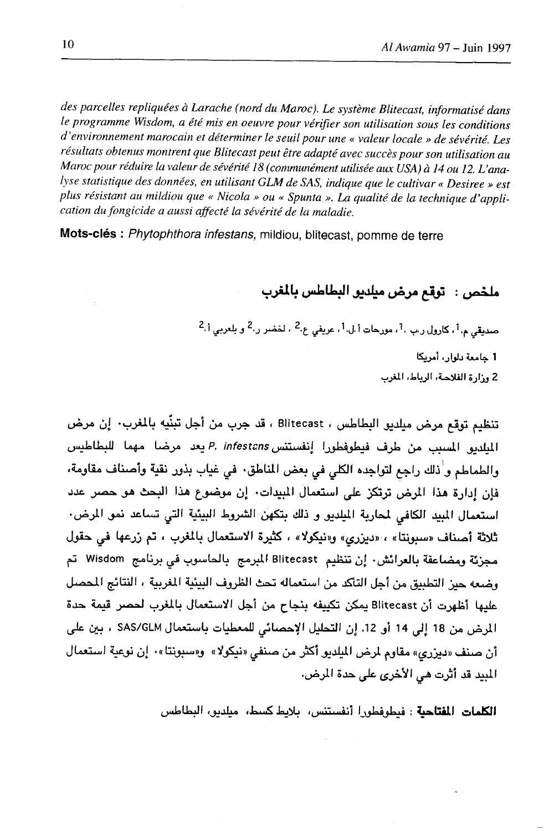des parcelles repliquées à Larache (nord du Maroc). Le système Blitecast, informatisé dans le programme Wisdom, a été mis en oeuvre pour vérifier son utilisation sous les conditions d'environnement marocain et déterminer le seuil pour une « valeur locale » de sévérité. Les résultats obtenus montrent que Blitecast peut être adapté avec succès pour son utilisation au Maroc pour réduire la valeur de sévérité 18 (communément utilisée aux USA) à 14 ou 12. L'analyse statistique des données, en utilisant GLM de SAS, indique que le cultivar « Desiree » est plus résistant au mildiou que « Nicola » ou « Spunta ». La qualité de la technique d'application du fongicide a aussi affecté la sévérité de la maladie.

Mots-clés : Phytophthora infestans, mildiou, blitecast, pomme de terre

ملخص : توقع مرض ميلديو البطاطس بالمغرب

صديقى م.1، كارول رب .1، مورجات أ.ل.1، عريفى ع.2 ، لخضر ر.2 و بلعربى أ.2 1 جامعة دلوإن أمريكا 2 وزارة الفلاحة، الرياط، المغرب

تنظيم توقع مرض ميلديو البطاطس ، Blitecast ، قد جرب من أجل تبنِّيه بالمغرب· إن مرض الميلديو المسبب من طرف فيطوفطورا إنفستنس P. infestans يعد مرضا مهما للبطاطيس والطماطم ولذلك راجع لتواجده الكلي في بعض المناطق. في غياب بذور نقية وأصناف مقاومة، فإن إدارة هذا المرض ترتكز على استعمال المبيدات· إن موضوع هذا البحث هو حصر عدد استعمال المبيد الكافي لمحاربة الميلديو و ذلك بتكهن الشروط البيئية التي تساعد نمو المرض. ثلاثة أصناف «سبونتا» ، «ديزري» و«نيكولا» ، كثيرة الاستعمال بالمغرب ، تم زرعها في حقول مجزئة ومضاعفة بالعرائش· إن تنظيم Blitecast المبرمج بالحاسوب في برنامج Wisdom تم وضعه حيز التطبيق من أجل التأكد من استعماله تحث الظروف البيئية المغربية ، النتائج الحصل عليها أظهرت أن Blitecast يمكن تكييفه بنجاح من أجل الاستعمال بالمغرب لحصر قيمة حدة المرض من 18 إلى 14 أو 12. إن التحليل الإحصائي للمعطيات باستعمال SAS/GLM ، بين على أن صنف «ديزري» مقاوم لمرض الميلديو أكثر من صنفي «نيكولا» و«سبونتا»· إن نوعية استعمال المبيد قد أثرت هي الأخرى على حدة المرض.

**الكلمات المفتاحية** : فيطوفطور! أنفستنس، بلايط كسط، ميلديو، البطاطس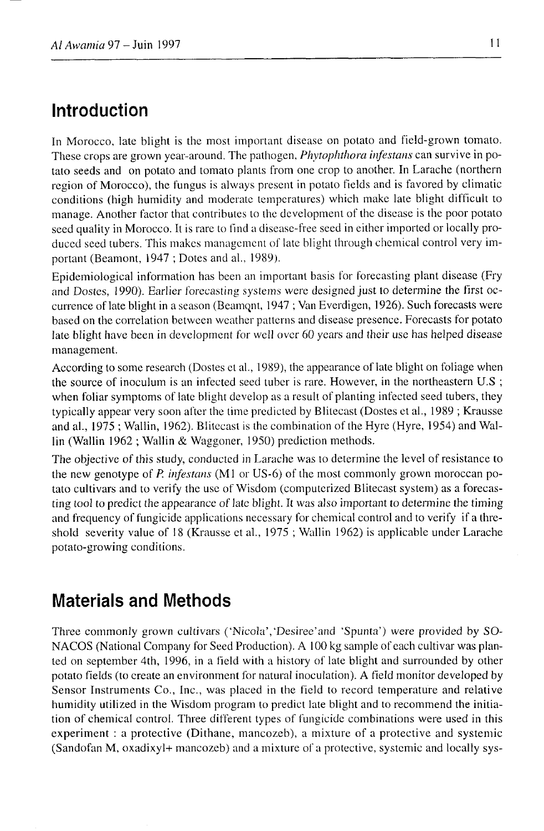### Introduction

In Morocco, late blight is the most important disease on potato and field-grown tomato. These crops are grown year-around. The pathogen, *Phytophthora infestans* can survive in potato seeds and on potato and tomato plants from one crop to another. In Larache (northern region of Morocco), the fungus is always present in potato fields and is favored by climatic conditions (high humidity and moderate temperatures) which make late blight difficult to manage. Another factor that contributes to the development of the disease is the poor potato seed quality in Morocco. It is rare to find a disease-free seed in either imported or locally produced seed tubers. This makes management of late blight through chemical control very important (Beamont, 1947; Dotes and al., 1989).

Epidemiological information has been an important basis for forecasting plant disease (Fry and Dostes, 1990). Earlier forecasting systems were designed just to determine the first occurrence of late blight in a season (Beamont, 1947; Van Everdigen, 1926). Such forecasts were based on the correlation between weather patterns and disease presence. Forecasts for potato late blight have been in development for well over 60 years and their use has helped disease management.

According to some research (Dostes et al., 1989), the appearance of late blight on foliage when the source of inoculum is an infected seed tuber is rare. However, in the northeastern U.S; when foliar symptoms of late blight develop as a result of planting infected seed tubers, they typically appear very soon after the time predicted by Blitecast (Dostes et al., 1989; Krausse and al., 1975; Wallin, 1962). Blitecast is the combination of the Hyre (Hyre, 1954) and Wallin (Wallin 1962; Wallin & Waggoner, 1950) prediction methods.

The objective of this study, conducted in Larache was to determine the level of resistance to the new genotype of P. infestans (M1 or US-6) of the most commonly grown moroccan potato cultivars and to verify the use of Wisdom (computerized Blitecast system) as a forecasting tool to predict the appearance of late blight. It was also important to determine the timing and frequency of fungicide applications necessary for chemical control and to verify if a threshold severity value of 18 (Krausse et al., 1975; Wallin 1962) is applicable under Larache potato-growing conditions.

### **Materials and Methods**

Three commonly grown cultivars ('Nicola', 'Desiree' and 'Spunta') were provided by SO-NACOS (National Company for Seed Production). A 100 kg sample of each cultivar was planted on september 4th, 1996, in a field with a history of late blight and surrounded by other potato fields (to create an environment for natural inoculation). A field monitor developed by Sensor Instruments Co., Inc., was placed in the field to record temperature and relative humidity utilized in the Wisdom program to predict late blight and to recommend the initiation of chemical control. Three different types of fungicide combinations were used in this experiment : a protective (Dithane, mancozeb), a mixture of a protective and systemic (Sandofan M, oxadixyl+ mancozeb) and a mixture of a protective, systemic and locally sys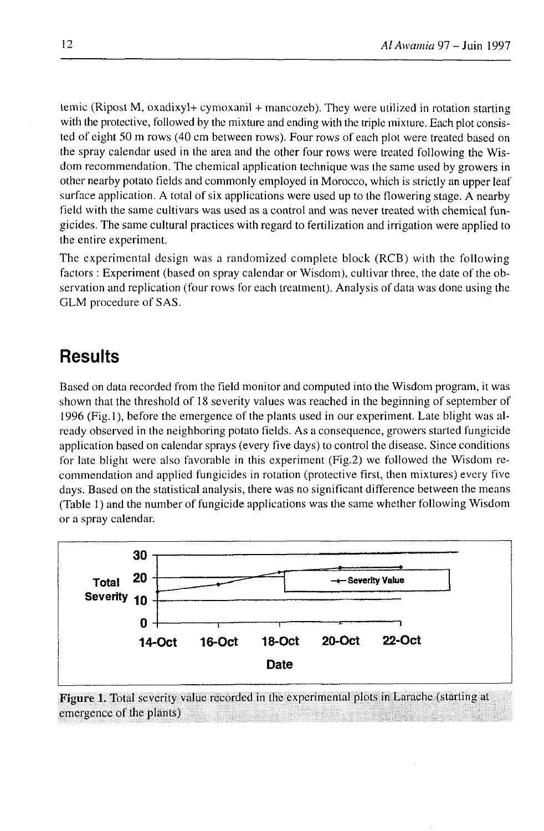temic (Ripost M, oxadixyl + cymoxanil + mancozeb). They were utilized in rotation starting with the protective, followed by the mixture and ending with the triple mixture. Each plot consisted of eight 50 m rows (40 cm between rows). Four rows of each plot were treated based on the spray calendar used in the area and the other four rows were treated following the Wisdom recommendation. The chenrical application technique was the same used by growers in other nearby potato fields and commonly employed in Morocco, which is strictly an upper leaf surface application. A total of six applications were used up to the flowering stage. A nearby field with the same cultivars was used as a control and was never treated with chemical fungicides. The same cultural practices with regard to fertilization and irrigation were applied to the entire experiment.

The experimental design was a randomized complete block (RCB) with the following factors : Experiment (based on spray calendar or Wisdom), cultivar three, the date of the observation and replication (four rows for each treatment). Analysis of data was done using the GLM procedure of SAS.

### **Results**

Based on data recorded from the field monitor and computed into the Wisdom program, it was shown that the threshold of l8 severity values was reached in the beginning of september of 1996 (Fig. l), before the emergence of the plants used in our experiment. Late blight was already observed in the neighboring potato fields. As a consequence, growers started fungicide application based on calendar sprays (every five days) to control the disease. Since conditions for late blight were also favorable in this experiment (Fig.2) we followed the Wisdom recommendation and applied fungicides in rotation (protective first, then mixtures) every five days. Based on the statistical analysis, there was no significant difference between the means (Table 1) and the number of fungicide applications was the same whether following Wisdom or a spray calendar.



Figure 1. Total severity value recorded in the experimental plots in Larache (starting at emergence of the plants) : :i : i,,,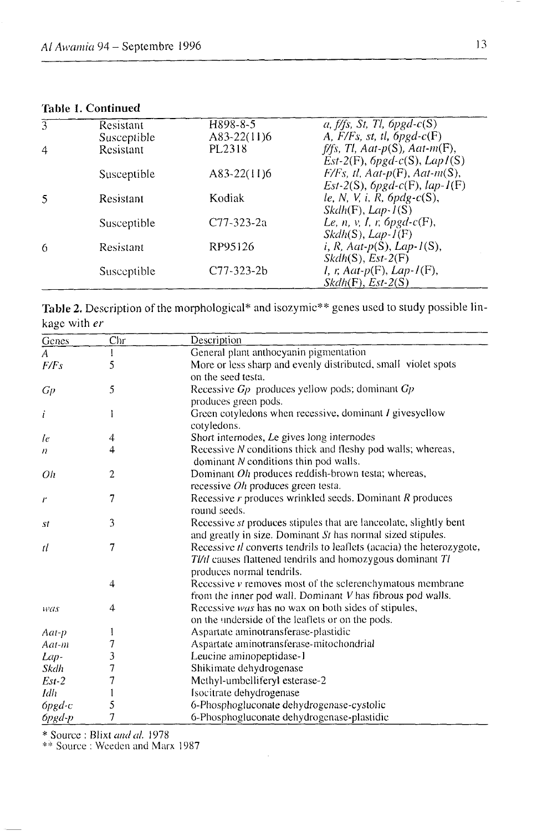#### Table 1. Continued

| 3 | Resistant   | H898-8-5         | a, $f$ /fs, St, Tl, 6pgd-c(S)             |
|---|-------------|------------------|-------------------------------------------|
|   | Susceptible | $A83-22(11)6$    | A, $F/Fs$ , st, tl, $6pgd-c(F)$           |
| 4 | Resistant   | PL2318           | $f$ ffs, Tl, Aat- $p(S)$ , Aat- $m(F)$ ,  |
|   |             |                  | $Est-2(F)$ , $pgd-c(S)$ , $LapI(S)$       |
|   | Susceptible | A83-22(11)6      | $F/Fs$ , tl, Aat-p(F), Aat-m(S),          |
|   |             |                  | $Est-2(S)$ , $6pgd-c(F)$ , $lap-I(F)$     |
| 5 | Resistant   | Kodiak           | le, N, V, i, R, $6pdg-c(S)$ ,             |
|   |             |                  | $Skdh(F)$ , Lap- $I(S)$                   |
|   | Susceptible | C77-323-2a       | Le, n, v, I, r, $6pgd-c(F)$ ,             |
|   |             |                  | $Skdh(S), Lap-I(F)$                       |
| 6 | Resistant   | RP95126          | $i, R, \text{Aat-p}(S), \text{Lap-1}(S),$ |
|   |             |                  | $Skdh(S), Est-2(F)$                       |
|   | Susceptible | $C77 - 323 - 2b$ | $I, r, Aat-p(F), Lap-I(F),$               |
|   |             |                  | $Skdh(F)$ , $Est-2(S)$                    |

Table 2. Description of the morphological\* and isozymic\*\* genes used to study possible linkage with er

| Genes          | $_{\rm Chr}$ | Description                                                                         |  |
|----------------|--------------|-------------------------------------------------------------------------------------|--|
| $\overline{A}$ | I            | General plant anthocyanin pigmentation                                              |  |
| F/Fs           | 5            | More or less sharp and evenly distributed, small violet spots<br>on the seed testa. |  |
|                |              |                                                                                     |  |
| Gр             | 5            | Recessive $G_p$ produces yellow pods; dominant $G_p$                                |  |
|                |              | produces green pods.                                                                |  |
| i              | l            | Green cotyledons when recessive, dominant I givesyellow<br>cotyledons.              |  |
| le             | 4            | Short internodes, Le gives long internodes                                          |  |
| 4<br>n         |              | Recessive N conditions thick and fleshy pod walls; whereas,                         |  |
|                |              | dominant $N$ conditions thin pod walls.                                             |  |
| Oh             | 2            | Dominant <i>Oh</i> produces reddish-brown testa; whereas,                           |  |
|                |              | recessive $Oh$ produces green testa.                                                |  |
| r              | 7            | Recessive $r$ produces wrinkled seeds. Dominant $R$ produces                        |  |
|                |              | round seeds.                                                                        |  |
| st             | 3            | Recessive st produces stipules that are lanceolate, slightly bent                   |  |
|                |              | and greatly in size. Dominant St has normal sized stipules.                         |  |
| 1ĺ.            | 7            | Recessive <i>il</i> converts tendrils to leaflets (acacia) the heterozygote,        |  |
|                |              | TI/tl causes flattened tendrils and homozygous dominant Tl                          |  |
|                |              | produces normal tendrils.                                                           |  |
|                | 4            | Recessive <i>v</i> removes most of the sclerenchymatous membrane                    |  |
|                |              | from the inner pod wall. Dominant V has fibrous pod walls.                          |  |
| was            | 4            | Recessive was has no wax on both sides of stipules,                                 |  |
|                |              | on the underside of the leaflets or on the pods.                                    |  |
| Aat-p          |              | Aspartate aminotransferase-plastidic                                                |  |
| Aat-m          | 7            | Aspartate aminotransferase-mitochondrial                                            |  |
| Lap-           | 3            | Leucine aminopeptidase-1                                                            |  |
| Skdh           | 7            | Shikimate dehydrogenase                                                             |  |
| $Est-2$        | 7            | Methyl-umbelliferyl esterase-2                                                      |  |
| Idh            |              | Isocitrate dehydrogenase                                                            |  |
| $6$ pgd-c      | 5            | 6-Phosphogluconate dehydrogenase-cystolic                                           |  |
| $6pgd-p$       | 7            | 6-Phosphogluconate dehydrogenase-plastidic                                          |  |

\* Source : Blixt and al. 1978<br>\*\* Source : Weeden and Marx 1987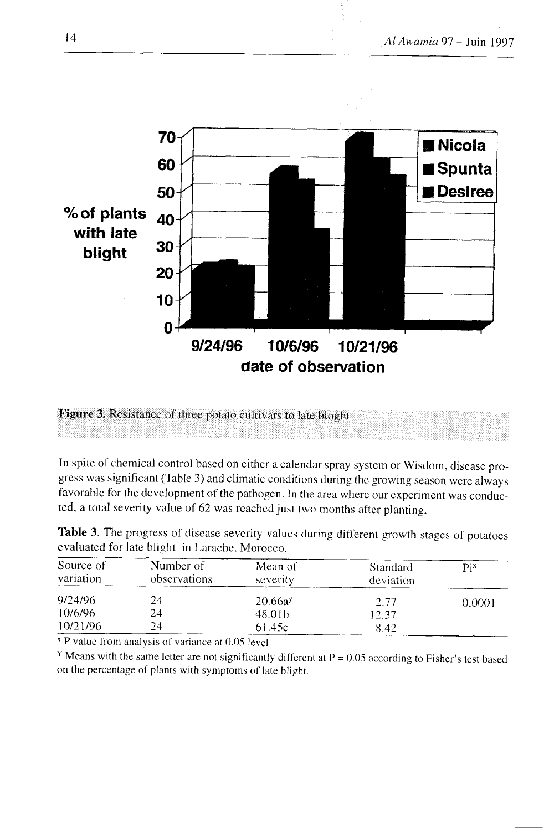

Figure 3. Resistance of three potato cultivars to late bloght

In spite of chemical control based on either a calendar spray system or Wisdom, disease progress was significant (Table 3) and climatic conditions during the growing season were always favorable for the development of the pathogen. In the area where our experiment was conducted, a total severity value of 62 was reached just two months after planting.

|           |                                                |         | Table 3. The progress of disease severity values during different growth stages of potatoes |                    |
|-----------|------------------------------------------------|---------|---------------------------------------------------------------------------------------------|--------------------|
|           | evaluated for late blight in Larache, Morocco. |         |                                                                                             |                    |
| Source of | Number of                                      | Mean of | Standard                                                                                    | $\mathbf{p}_{i}$ x |

| Source of<br>variation | Number of<br>observations | Mean of<br>severity | Standard<br>deviation | $\mathbf{p}_{i}$ |
|------------------------|---------------------------|---------------------|-----------------------|------------------|
| 9/24/96                | 24                        | 20.66a <sup>y</sup> | 2.77                  | 0.0001           |
| 10/6/96                | 24                        | 48.01b              | 12.37                 |                  |
| 10/21/96               | 24                        | 61.45c              | 8.42                  |                  |
|                        |                           |                     |                       |                  |

<sup>x</sup> P value from analysis of variance at 0.05 level.

<sup>Y</sup> Means with the same letter are not significantly different at  $P = 0.05$  according to Fisher's test based on the percentage of plants with symptoms of late blight.